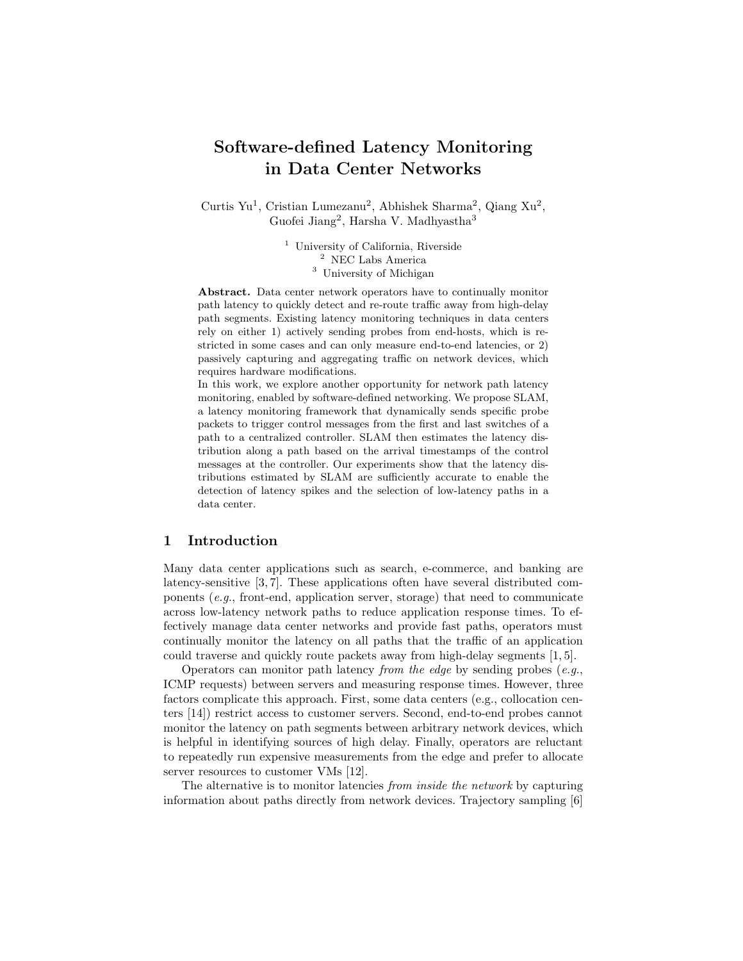# Software-defined Latency Monitoring in Data Center Networks

Curtis Yu<sup>1</sup>, Cristian Lumezanu<sup>2</sup>, Abhishek Sharma<sup>2</sup>, Qiang Xu<sup>2</sup>, Guofei Jiang<sup>2</sup>, Harsha V. Madhyastha<sup>3</sup>

> <sup>1</sup> University of California, Riverside <sup>2</sup> NEC Labs America <sup>3</sup> University of Michigan

Abstract. Data center network operators have to continually monitor path latency to quickly detect and re-route traffic away from high-delay path segments. Existing latency monitoring techniques in data centers rely on either 1) actively sending probes from end-hosts, which is restricted in some cases and can only measure end-to-end latencies, or 2) passively capturing and aggregating traffic on network devices, which requires hardware modifications.

In this work, we explore another opportunity for network path latency monitoring, enabled by software-defined networking. We propose SLAM, a latency monitoring framework that dynamically sends specific probe packets to trigger control messages from the first and last switches of a path to a centralized controller. SLAM then estimates the latency distribution along a path based on the arrival timestamps of the control messages at the controller. Our experiments show that the latency distributions estimated by SLAM are sufficiently accurate to enable the detection of latency spikes and the selection of low-latency paths in a data center.

# 1 Introduction

Many data center applications such as search, e-commerce, and banking are latency-sensitive [3, 7]. These applications often have several distributed components  $(e.g.,$  front-end, application server, storage) that need to communicate across low-latency network paths to reduce application response times. To effectively manage data center networks and provide fast paths, operators must continually monitor the latency on all paths that the traffic of an application could traverse and quickly route packets away from high-delay segments [1, 5].

Operators can monitor path latency *from the edge* by sending probes  $(e.g.,)$ ICMP requests) between servers and measuring response times. However, three factors complicate this approach. First, some data centers (e.g., collocation centers [14]) restrict access to customer servers. Second, end-to-end probes cannot monitor the latency on path segments between arbitrary network devices, which is helpful in identifying sources of high delay. Finally, operators are reluctant to repeatedly run expensive measurements from the edge and prefer to allocate server resources to customer VMs [12].

The alternative is to monitor latencies *from inside the network* by capturing information about paths directly from network devices. Trajectory sampling [6]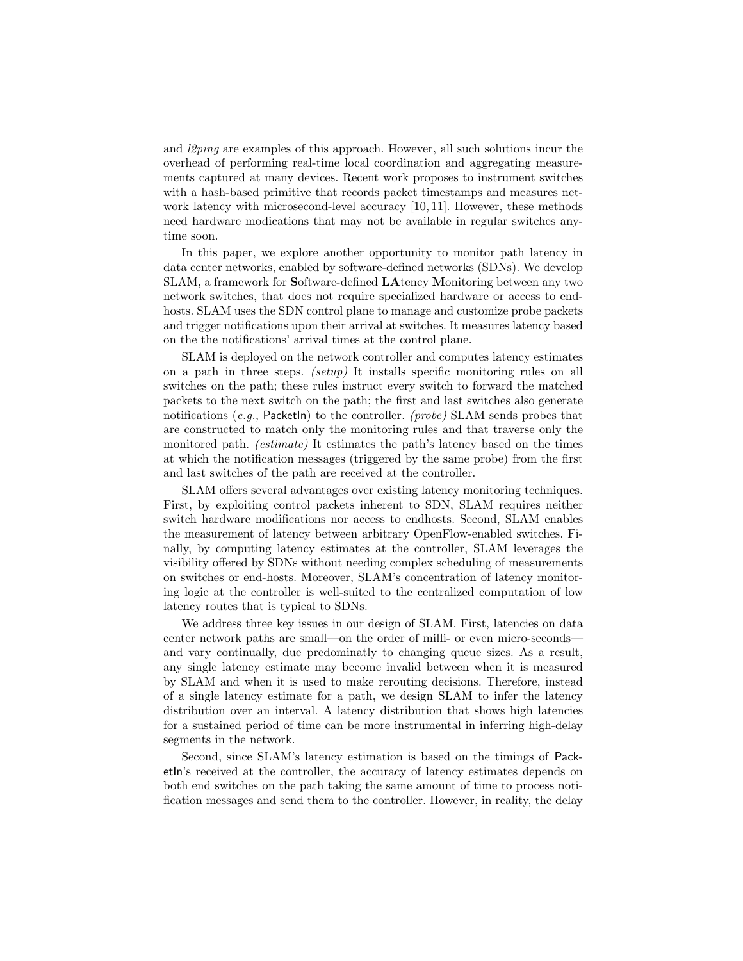and l2ping are examples of this approach. However, all such solutions incur the overhead of performing real-time local coordination and aggregating measurements captured at many devices. Recent work proposes to instrument switches with a hash-based primitive that records packet timestamps and measures network latency with microsecond-level accuracy [10, 11]. However, these methods need hardware modications that may not be available in regular switches anytime soon.

In this paper, we explore another opportunity to monitor path latency in data center networks, enabled by software-defined networks (SDNs). We develop SLAM, a framework for Software-defined LAtency Monitoring between any two network switches, that does not require specialized hardware or access to endhosts. SLAM uses the SDN control plane to manage and customize probe packets and trigger notifications upon their arrival at switches. It measures latency based on the the notifications' arrival times at the control plane.

SLAM is deployed on the network controller and computes latency estimates on a path in three steps. (setup) It installs specific monitoring rules on all switches on the path; these rules instruct every switch to forward the matched packets to the next switch on the path; the first and last switches also generate notifications (e.g., PacketIn) to the controller. (probe) SLAM sends probes that are constructed to match only the monitoring rules and that traverse only the monitored path. (estimate) It estimates the path's latency based on the times at which the notification messages (triggered by the same probe) from the first and last switches of the path are received at the controller.

SLAM offers several advantages over existing latency monitoring techniques. First, by exploiting control packets inherent to SDN, SLAM requires neither switch hardware modifications nor access to endhosts. Second, SLAM enables the measurement of latency between arbitrary OpenFlow-enabled switches. Finally, by computing latency estimates at the controller, SLAM leverages the visibility offered by SDNs without needing complex scheduling of measurements on switches or end-hosts. Moreover, SLAM's concentration of latency monitoring logic at the controller is well-suited to the centralized computation of low latency routes that is typical to SDNs.

We address three key issues in our design of SLAM. First, latencies on data center network paths are small—on the order of milli- or even micro-seconds and vary continually, due predominatly to changing queue sizes. As a result, any single latency estimate may become invalid between when it is measured by SLAM and when it is used to make rerouting decisions. Therefore, instead of a single latency estimate for a path, we design SLAM to infer the latency distribution over an interval. A latency distribution that shows high latencies for a sustained period of time can be more instrumental in inferring high-delay segments in the network.

Second, since SLAM's latency estimation is based on the timings of PacketIn's received at the controller, the accuracy of latency estimates depends on both end switches on the path taking the same amount of time to process notification messages and send them to the controller. However, in reality, the delay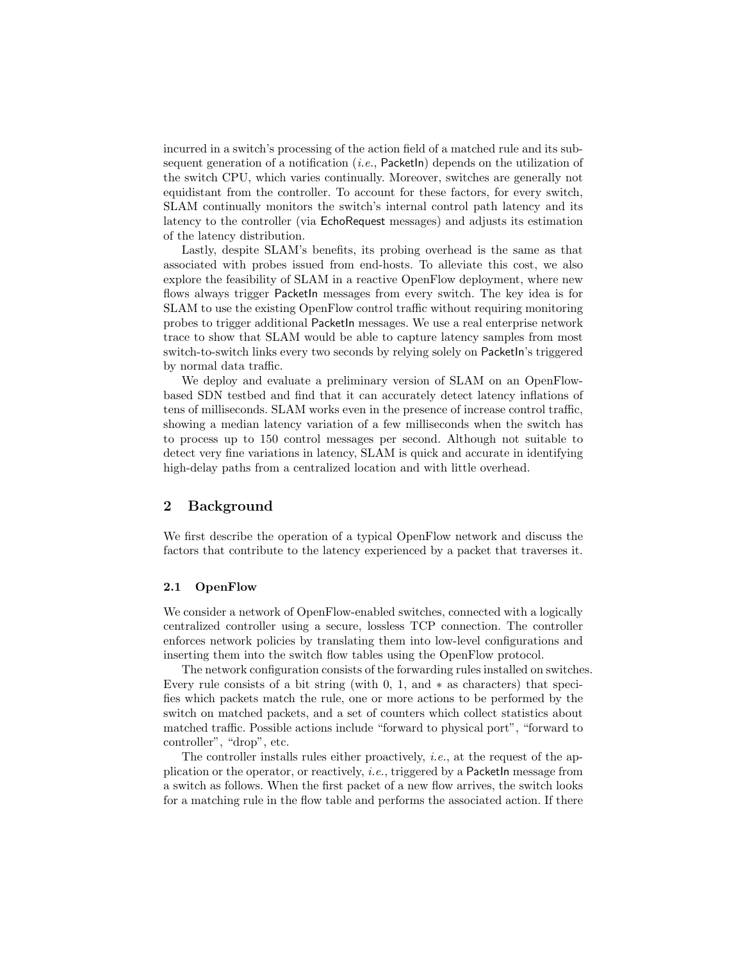incurred in a switch's processing of the action field of a matched rule and its subsequent generation of a notification  $(i.e.,$  PacketIn) depends on the utilization of the switch CPU, which varies continually. Moreover, switches are generally not equidistant from the controller. To account for these factors, for every switch, SLAM continually monitors the switch's internal control path latency and its latency to the controller (via EchoRequest messages) and adjusts its estimation of the latency distribution.

Lastly, despite SLAM's benefits, its probing overhead is the same as that associated with probes issued from end-hosts. To alleviate this cost, we also explore the feasibility of SLAM in a reactive OpenFlow deployment, where new flows always trigger PacketIn messages from every switch. The key idea is for SLAM to use the existing OpenFlow control traffic without requiring monitoring probes to trigger additional PacketIn messages. We use a real enterprise network trace to show that SLAM would be able to capture latency samples from most switch-to-switch links every two seconds by relying solely on PacketIn's triggered by normal data traffic.

We deploy and evaluate a preliminary version of SLAM on an OpenFlowbased SDN testbed and find that it can accurately detect latency inflations of tens of milliseconds. SLAM works even in the presence of increase control traffic, showing a median latency variation of a few milliseconds when the switch has to process up to 150 control messages per second. Although not suitable to detect very fine variations in latency, SLAM is quick and accurate in identifying high-delay paths from a centralized location and with little overhead.

# 2 Background

We first describe the operation of a typical OpenFlow network and discuss the factors that contribute to the latency experienced by a packet that traverses it.

## 2.1 OpenFlow

We consider a network of OpenFlow-enabled switches, connected with a logically centralized controller using a secure, lossless TCP connection. The controller enforces network policies by translating them into low-level configurations and inserting them into the switch flow tables using the OpenFlow protocol.

The network configuration consists of the forwarding rules installed on switches. Every rule consists of a bit string (with 0, 1, and  $*$  as characters) that specifies which packets match the rule, one or more actions to be performed by the switch on matched packets, and a set of counters which collect statistics about matched traffic. Possible actions include "forward to physical port", "forward to controller", "drop", etc.

The controller installs rules either proactively, *i.e.*, at the request of the application or the operator, or reactively, *i.e.*, triggered by a PacketIn message from a switch as follows. When the first packet of a new flow arrives, the switch looks for a matching rule in the flow table and performs the associated action. If there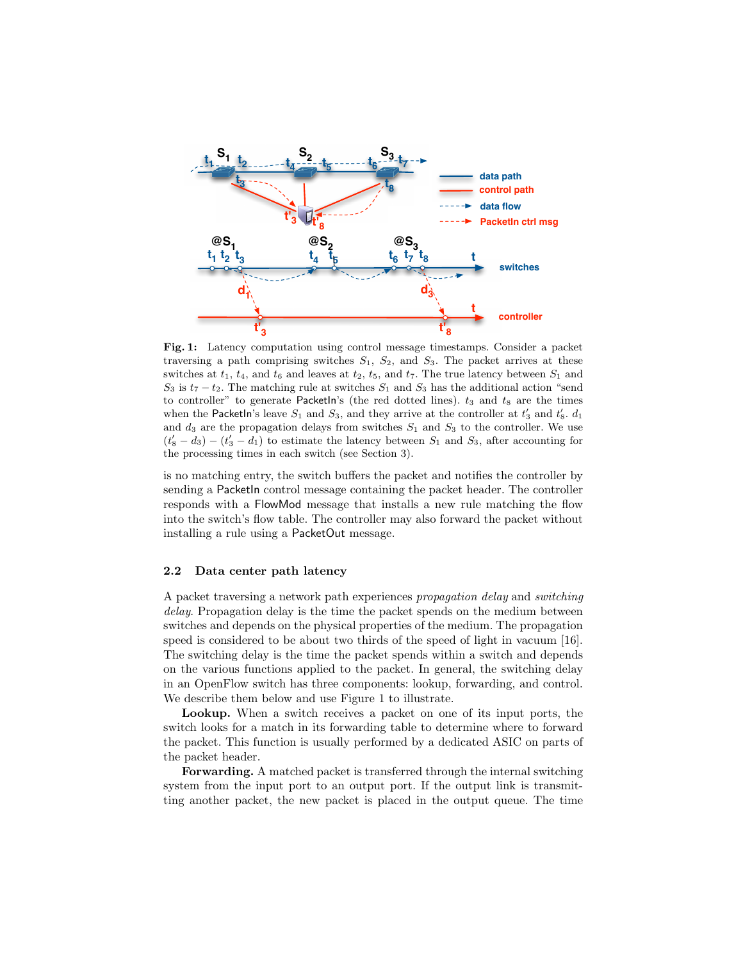

Fig. 1: Latency computation using control message timestamps. Consider a packet traversing a path comprising switches  $S_1$ ,  $S_2$ , and  $S_3$ . The packet arrives at these switches at  $t_1$ ,  $t_4$ , and  $t_6$  and leaves at  $t_2$ ,  $t_5$ , and  $t_7$ . The true latency between  $S_1$  and  $S_3$  is  $t_7 - t_2$ . The matching rule at switches  $S_1$  and  $S_3$  has the additional action "send to controller" to generate PacketIn's (the red dotted lines).  $t_3$  and  $t_8$  are the times when the Packetln's leave  $S_1$  and  $S_3$ , and they arrive at the controller at  $t'_3$  and  $t'_8$ .  $d_1$ and  $d_3$  are the propagation delays from switches  $S_1$  and  $S_3$  to the controller. We use  $(t'_8 - d_3) - (t'_3 - d_1)$  to estimate the latency between  $S_1$  and  $S_3$ , after accounting for the processing times in each switch (see Section 3).

is no matching entry, the switch buffers the packet and notifies the controller by sending a PacketIn control message containing the packet header. The controller responds with a FlowMod message that installs a new rule matching the flow into the switch's flow table. The controller may also forward the packet without installing a rule using a PacketOut message.

### 2.2 Data center path latency

A packet traversing a network path experiences propagation delay and switching delay. Propagation delay is the time the packet spends on the medium between switches and depends on the physical properties of the medium. The propagation speed is considered to be about two thirds of the speed of light in vacuum [16]. The switching delay is the time the packet spends within a switch and depends on the various functions applied to the packet. In general, the switching delay in an OpenFlow switch has three components: lookup, forwarding, and control. We describe them below and use Figure 1 to illustrate.

Lookup. When a switch receives a packet on one of its input ports, the switch looks for a match in its forwarding table to determine where to forward the packet. This function is usually performed by a dedicated ASIC on parts of the packet header.

Forwarding. A matched packet is transferred through the internal switching system from the input port to an output port. If the output link is transmitting another packet, the new packet is placed in the output queue. The time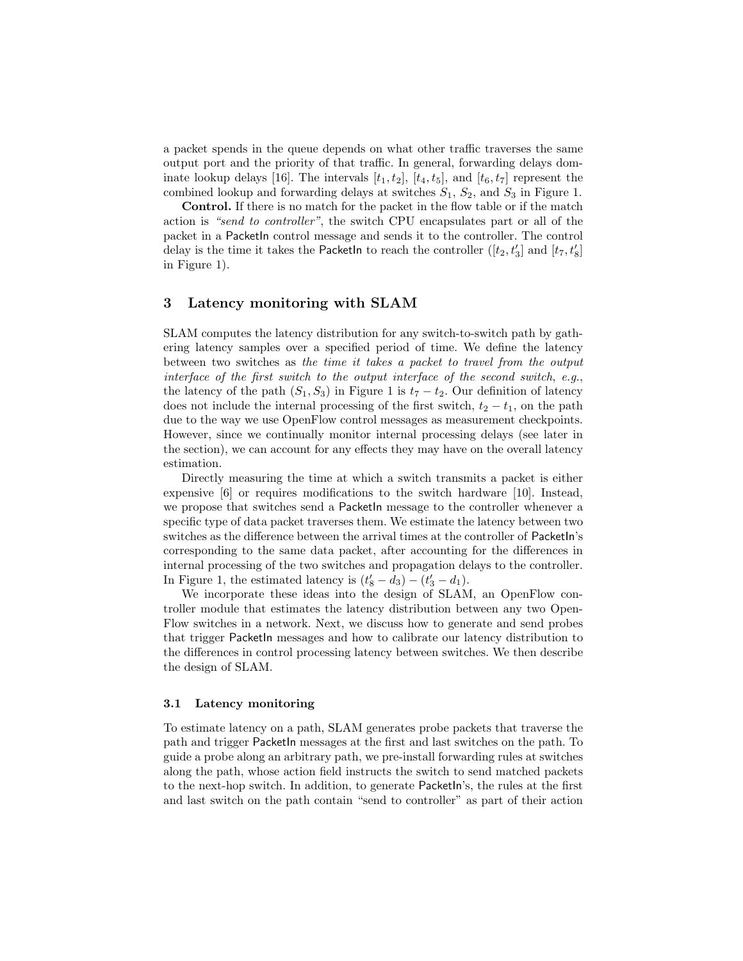a packet spends in the queue depends on what other traffic traverses the same output port and the priority of that traffic. In general, forwarding delays dominate lookup delays [16]. The intervals  $[t_1, t_2]$ ,  $[t_4, t_5]$ , and  $[t_6, t_7]$  represent the combined lookup and forwarding delays at switches  $S_1$ ,  $S_2$ , and  $S_3$  in Figure 1.

Control. If there is no match for the packet in the flow table or if the match action is "send to controller", the switch CPU encapsulates part or all of the packet in a PacketIn control message and sends it to the controller. The control delay is the time it takes the PacketIn to reach the controller  $([t_2, t_3']$  and  $[t_7, t_8']$ in Figure 1).

# 3 Latency monitoring with SLAM

SLAM computes the latency distribution for any switch-to-switch path by gathering latency samples over a specified period of time. We define the latency between two switches as the time it takes a packet to travel from the output interface of the first switch to the output interface of the second switch, e.g., the latency of the path  $(S_1, S_3)$  in Figure 1 is  $t_7 - t_2$ . Our definition of latency does not include the internal processing of the first switch,  $t_2 - t_1$ , on the path due to the way we use OpenFlow control messages as measurement checkpoints. However, since we continually monitor internal processing delays (see later in the section), we can account for any effects they may have on the overall latency estimation.

Directly measuring the time at which a switch transmits a packet is either expensive [6] or requires modifications to the switch hardware [10]. Instead, we propose that switches send a PacketIn message to the controller whenever a specific type of data packet traverses them. We estimate the latency between two switches as the difference between the arrival times at the controller of Packetln's corresponding to the same data packet, after accounting for the differences in internal processing of the two switches and propagation delays to the controller. In Figure 1, the estimated latency is  $(t'_8 - d_3) - (t'_3 - d_1)$ .

We incorporate these ideas into the design of SLAM, an OpenFlow controller module that estimates the latency distribution between any two Open-Flow switches in a network. Next, we discuss how to generate and send probes that trigger PacketIn messages and how to calibrate our latency distribution to the differences in control processing latency between switches. We then describe the design of SLAM.

# 3.1 Latency monitoring

To estimate latency on a path, SLAM generates probe packets that traverse the path and trigger PacketIn messages at the first and last switches on the path. To guide a probe along an arbitrary path, we pre-install forwarding rules at switches along the path, whose action field instructs the switch to send matched packets to the next-hop switch. In addition, to generate PacketIn's, the rules at the first and last switch on the path contain "send to controller" as part of their action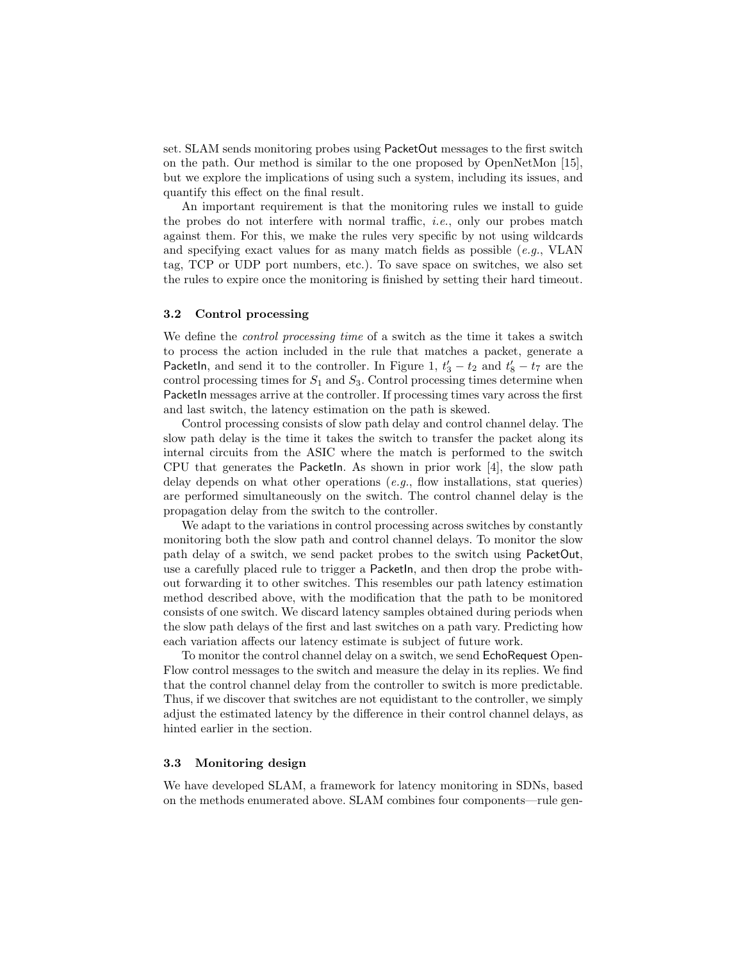set. SLAM sends monitoring probes using PacketOut messages to the first switch on the path. Our method is similar to the one proposed by OpenNetMon [15], but we explore the implications of using such a system, including its issues, and quantify this effect on the final result.

An important requirement is that the monitoring rules we install to guide the probes do not interfere with normal traffic, *i.e.*, only our probes match against them. For this, we make the rules very specific by not using wildcards and specifying exact values for as many match fields as possible  $(e.g., \text{ VLAN})$ tag, TCP or UDP port numbers, etc.). To save space on switches, we also set the rules to expire once the monitoring is finished by setting their hard timeout.

## 3.2 Control processing

We define the *control processing time* of a switch as the time it takes a switch to process the action included in the rule that matches a packet, generate a Packetln, and send it to the controller. In Figure 1,  $t'_3 - t_2$  and  $t'_8 - t_7$  are the control processing times for  $S_1$  and  $S_3$ . Control processing times determine when PacketIn messages arrive at the controller. If processing times vary across the first and last switch, the latency estimation on the path is skewed.

Control processing consists of slow path delay and control channel delay. The slow path delay is the time it takes the switch to transfer the packet along its internal circuits from the ASIC where the match is performed to the switch CPU that generates the PacketIn. As shown in prior work [4], the slow path delay depends on what other operations (e.g., flow installations, stat queries) are performed simultaneously on the switch. The control channel delay is the propagation delay from the switch to the controller.

We adapt to the variations in control processing across switches by constantly monitoring both the slow path and control channel delays. To monitor the slow path delay of a switch, we send packet probes to the switch using PacketOut, use a carefully placed rule to trigger a PacketIn, and then drop the probe without forwarding it to other switches. This resembles our path latency estimation method described above, with the modification that the path to be monitored consists of one switch. We discard latency samples obtained during periods when the slow path delays of the first and last switches on a path vary. Predicting how each variation affects our latency estimate is subject of future work.

To monitor the control channel delay on a switch, we send EchoRequest Open-Flow control messages to the switch and measure the delay in its replies. We find that the control channel delay from the controller to switch is more predictable. Thus, if we discover that switches are not equidistant to the controller, we simply adjust the estimated latency by the difference in their control channel delays, as hinted earlier in the section.

### 3.3 Monitoring design

We have developed SLAM, a framework for latency monitoring in SDNs, based on the methods enumerated above. SLAM combines four components—rule gen-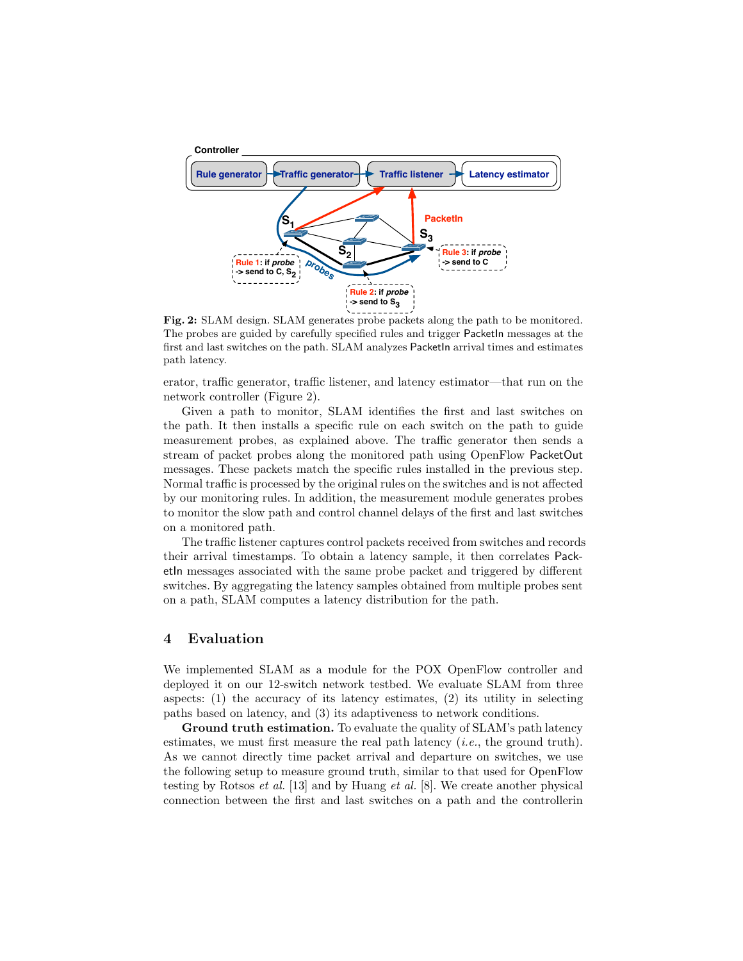

Fig. 2: SLAM design. SLAM generates probe packets along the path to be monitored. The probes are guided by carefully specified rules and trigger PacketIn messages at the first and last switches on the path. SLAM analyzes PacketIn arrival times and estimates path latency.

erator, traffic generator, traffic listener, and latency estimator—that run on the network controller (Figure 2).

Given a path to monitor, SLAM identifies the first and last switches on the path. It then installs a specific rule on each switch on the path to guide measurement probes, as explained above. The traffic generator then sends a stream of packet probes along the monitored path using OpenFlow PacketOut messages. These packets match the specific rules installed in the previous step. Normal traffic is processed by the original rules on the switches and is not affected by our monitoring rules. In addition, the measurement module generates probes to monitor the slow path and control channel delays of the first and last switches on a monitored path.

The traffic listener captures control packets received from switches and records their arrival timestamps. To obtain a latency sample, it then correlates PacketIn messages associated with the same probe packet and triggered by different switches. By aggregating the latency samples obtained from multiple probes sent on a path, SLAM computes a latency distribution for the path.

# 4 Evaluation

We implemented SLAM as a module for the POX OpenFlow controller and deployed it on our 12-switch network testbed. We evaluate SLAM from three aspects: (1) the accuracy of its latency estimates, (2) its utility in selecting paths based on latency, and (3) its adaptiveness to network conditions.

Ground truth estimation. To evaluate the quality of SLAM's path latency estimates, we must first measure the real path latency  $(i.e.,$  the ground truth). As we cannot directly time packet arrival and departure on switches, we use the following setup to measure ground truth, similar to that used for OpenFlow testing by Rotsos et al. [13] and by Huang et al. [8]. We create another physical connection between the first and last switches on a path and the controllerin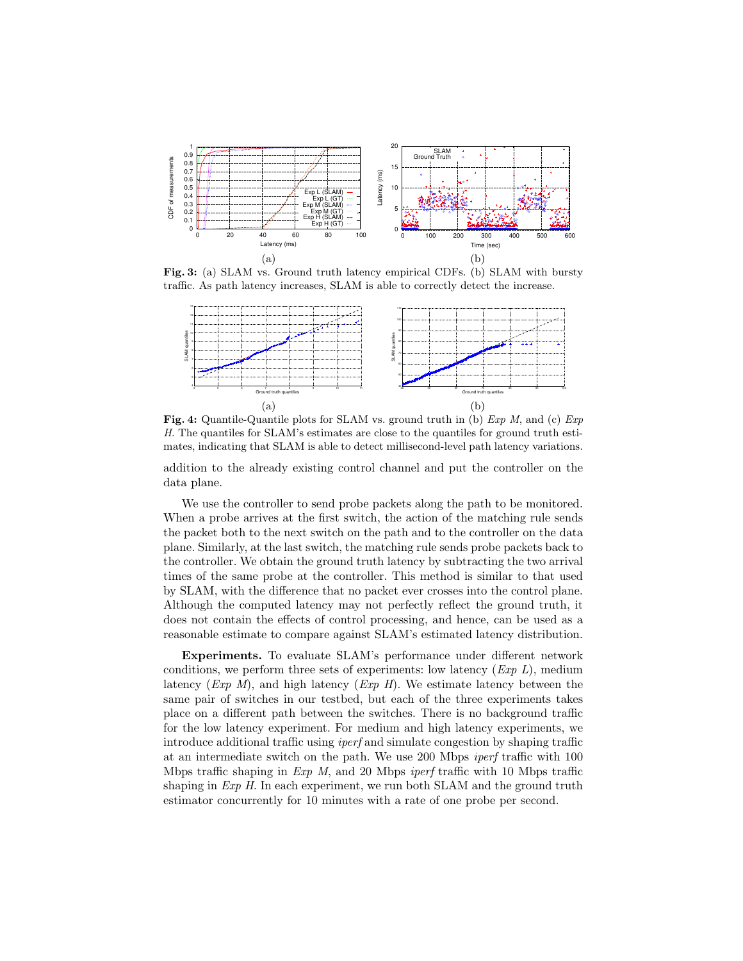

Fig. 3: (a) SLAM vs. Ground truth latency empirical CDFs. (b) SLAM with bursty traffic. As path latency increases, SLAM is able to correctly detect the increase.



Fig. 4: Quantile-Quantile plots for SLAM vs. ground truth in (b)  $Exp M$ , and (c)  $Exp$ H. The quantiles for SLAM's estimates are close to the quantiles for ground truth estimates, indicating that SLAM is able to detect millisecond-level path latency variations.

addition to the already existing control channel and put the controller on the data plane.

We use the controller to send probe packets along the path to be monitored. When a probe arrives at the first switch, the action of the matching rule sends the packet both to the next switch on the path and to the controller on the data plane. Similarly, at the last switch, the matching rule sends probe packets back to the controller. We obtain the ground truth latency by subtracting the two arrival times of the same probe at the controller. This method is similar to that used by SLAM, with the difference that no packet ever crosses into the control plane. Although the computed latency may not perfectly reflect the ground truth, it does not contain the effects of control processing, and hence, can be used as a reasonable estimate to compare against SLAM's estimated latency distribution.

Experiments. To evaluate SLAM's performance under different network conditions, we perform three sets of experiments: low latency  $(Exp L)$ , medium latency  $(Exp\ M)$ , and high latency  $(Exp\ H)$ . We estimate latency between the same pair of switches in our testbed, but each of the three experiments takes place on a different path between the switches. There is no background traffic for the low latency experiment. For medium and high latency experiments, we introduce additional traffic using iperf and simulate congestion by shaping traffic at an intermediate switch on the path. We use 200 Mbps iperf traffic with 100 Mbps traffic shaping in Exp  $M$ , and 20 Mbps iperf traffic with 10 Mbps traffic shaping in Exp H. In each experiment, we run both SLAM and the ground truth estimator concurrently for 10 minutes with a rate of one probe per second.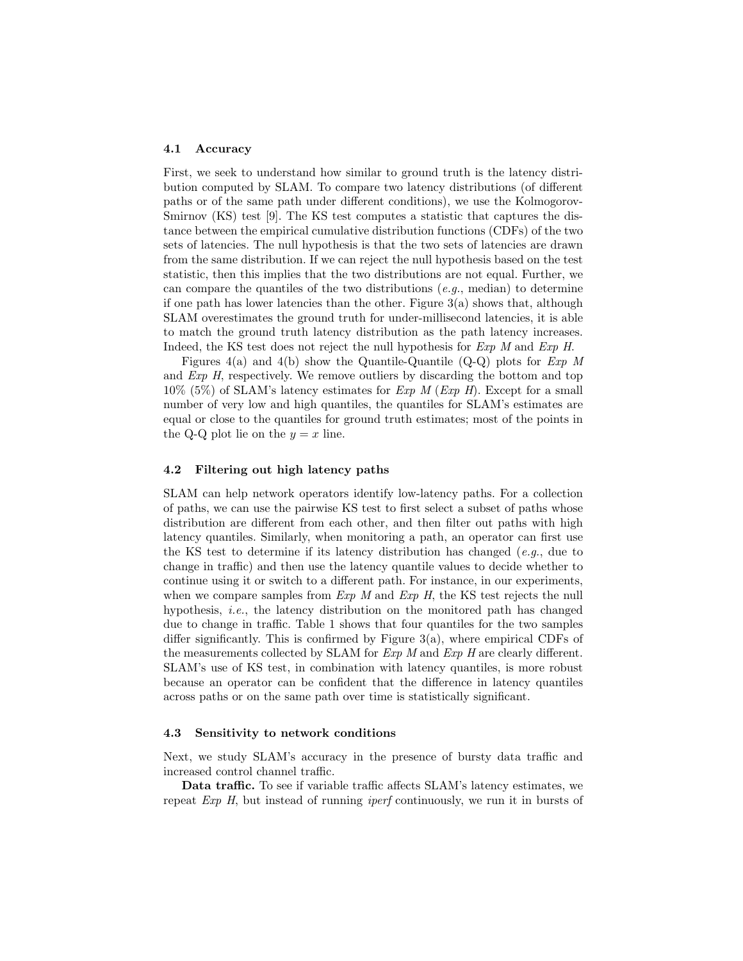#### 4.1 Accuracy

First, we seek to understand how similar to ground truth is the latency distribution computed by SLAM. To compare two latency distributions (of different paths or of the same path under different conditions), we use the Kolmogorov-Smirnov (KS) test [9]. The KS test computes a statistic that captures the distance between the empirical cumulative distribution functions (CDFs) of the two sets of latencies. The null hypothesis is that the two sets of latencies are drawn from the same distribution. If we can reject the null hypothesis based on the test statistic, then this implies that the two distributions are not equal. Further, we can compare the quantiles of the two distributions  $(e,q, \text{median})$  to determine if one path has lower latencies than the other. Figure  $3(a)$  shows that, although SLAM overestimates the ground truth for under-millisecond latencies, it is able to match the ground truth latency distribution as the path latency increases. Indeed, the KS test does not reject the null hypothesis for Exp M and Exp H.

Figures  $4(a)$  and  $4(b)$  show the Quantile-Quantile (Q-Q) plots for Exp M and *Exp H*, respectively. We remove outliers by discarding the bottom and top  $10\%$  (5%) of SLAM's latency estimates for Exp M (Exp H). Except for a small number of very low and high quantiles, the quantiles for SLAM's estimates are equal or close to the quantiles for ground truth estimates; most of the points in the Q-Q plot lie on the  $y = x$  line.

#### 4.2 Filtering out high latency paths

SLAM can help network operators identify low-latency paths. For a collection of paths, we can use the pairwise KS test to first select a subset of paths whose distribution are different from each other, and then filter out paths with high latency quantiles. Similarly, when monitoring a path, an operator can first use the KS test to determine if its latency distribution has changed  $(e.g.,\,$  due to change in traffic) and then use the latency quantile values to decide whether to continue using it or switch to a different path. For instance, in our experiments, when we compare samples from  $Exp M$  and  $Exp H$ , the KS test rejects the null hypothesis, *i.e.*, the latency distribution on the monitored path has changed due to change in traffic. Table 1 shows that four quantiles for the two samples differ significantly. This is confirmed by Figure  $3(a)$ , where empirical CDFs of the measurements collected by SLAM for  $Exp M$  and  $Exp H$  are clearly different. SLAM's use of KS test, in combination with latency quantiles, is more robust because an operator can be confident that the difference in latency quantiles across paths or on the same path over time is statistically significant.

### 4.3 Sensitivity to network conditions

Next, we study SLAM's accuracy in the presence of bursty data traffic and increased control channel traffic.

Data traffic. To see if variable traffic affects SLAM's latency estimates, we repeat Exp H, but instead of running iperf continuously, we run it in bursts of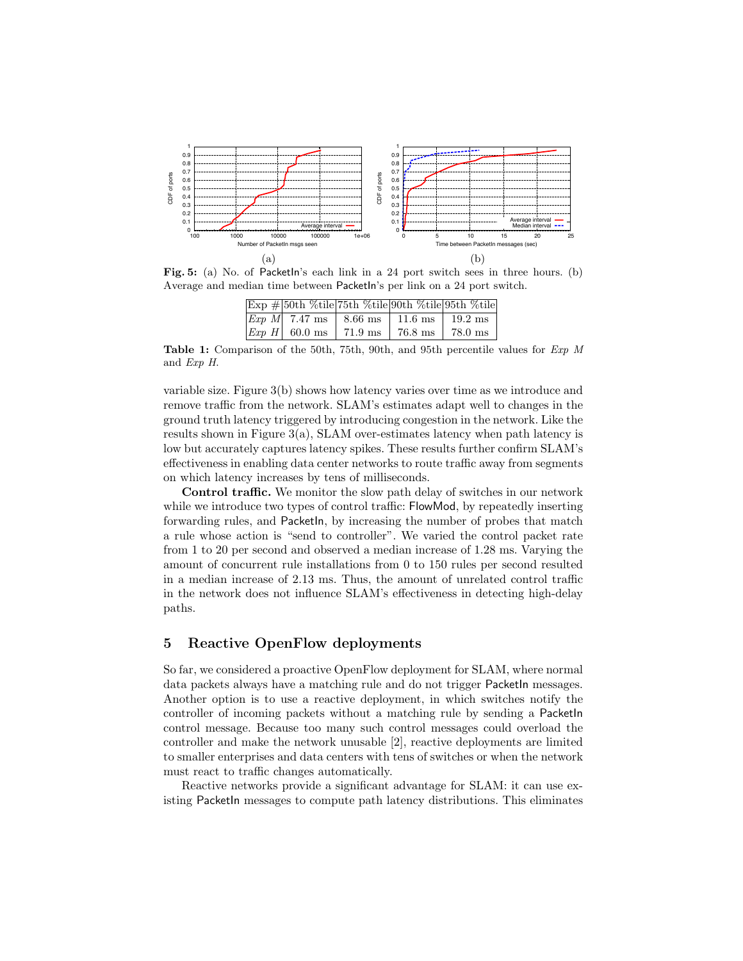

Fig. 5: (a) No. of Packetln's each link in a 24 port switch sees in three hours. (b) Average and median time between PacketIn's per link on a 24 port switch.

|  | Exp #50th %tile 75th %tile 90th %tile 95th %tile                               |  |  |
|--|--------------------------------------------------------------------------------|--|--|
|  | $\vert Exp \; M \vert$ 7.47 ms $\vert$ 8.66 ms $\vert$ 11.6 ms $\vert$ 19.2 ms |  |  |
|  | $ Exp H $ 60.0 ms   71.9 ms   76.8 ms   78.0 ms                                |  |  |

Table 1: Comparison of the 50th, 75th, 90th, and 95th percentile values for Exp M and Exp H.

variable size. Figure 3(b) shows how latency varies over time as we introduce and remove traffic from the network. SLAM's estimates adapt well to changes in the ground truth latency triggered by introducing congestion in the network. Like the results shown in Figure 3(a), SLAM over-estimates latency when path latency is low but accurately captures latency spikes. These results further confirm SLAM's effectiveness in enabling data center networks to route traffic away from segments on which latency increases by tens of milliseconds.

Control traffic. We monitor the slow path delay of switches in our network while we introduce two types of control traffic: FlowMod, by repeatedly inserting forwarding rules, and PacketIn, by increasing the number of probes that match a rule whose action is "send to controller". We varied the control packet rate from 1 to 20 per second and observed a median increase of 1.28 ms. Varying the amount of concurrent rule installations from 0 to 150 rules per second resulted in a median increase of 2.13 ms. Thus, the amount of unrelated control traffic in the network does not influence SLAM's effectiveness in detecting high-delay paths.

# 5 Reactive OpenFlow deployments

So far, we considered a proactive OpenFlow deployment for SLAM, where normal data packets always have a matching rule and do not trigger PacketIn messages. Another option is to use a reactive deployment, in which switches notify the controller of incoming packets without a matching rule by sending a PacketIn control message. Because too many such control messages could overload the controller and make the network unusable [2], reactive deployments are limited to smaller enterprises and data centers with tens of switches or when the network must react to traffic changes automatically.

Reactive networks provide a significant advantage for SLAM: it can use existing PacketIn messages to compute path latency distributions. This eliminates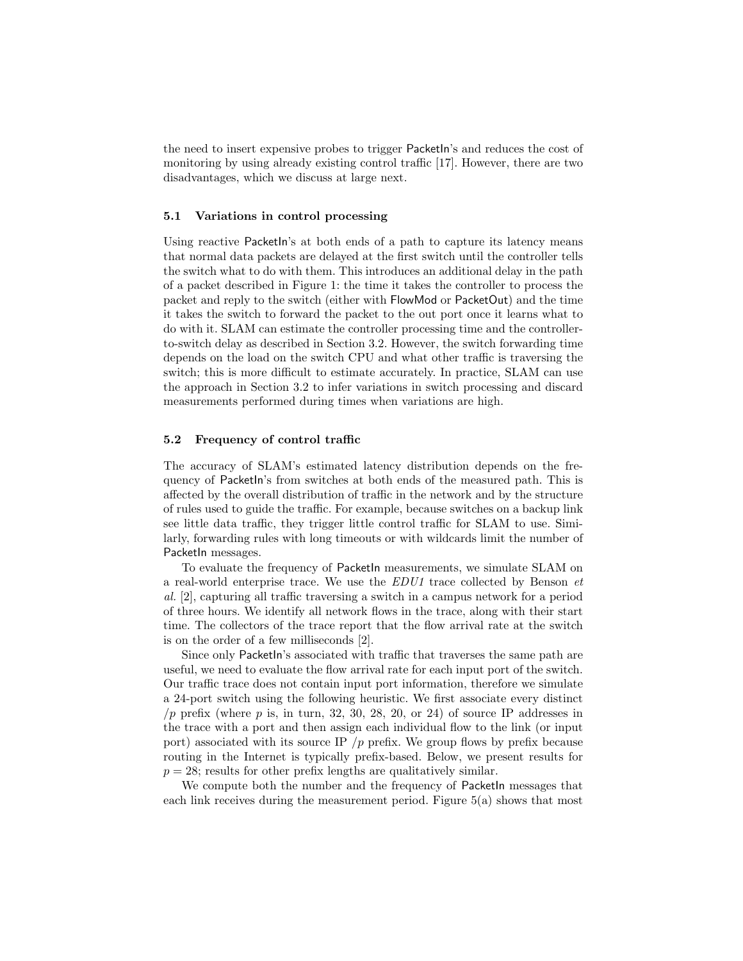the need to insert expensive probes to trigger PacketIn's and reduces the cost of monitoring by using already existing control traffic [17]. However, there are two disadvantages, which we discuss at large next.

#### 5.1 Variations in control processing

Using reactive PacketIn's at both ends of a path to capture its latency means that normal data packets are delayed at the first switch until the controller tells the switch what to do with them. This introduces an additional delay in the path of a packet described in Figure 1: the time it takes the controller to process the packet and reply to the switch (either with FlowMod or PacketOut) and the time it takes the switch to forward the packet to the out port once it learns what to do with it. SLAM can estimate the controller processing time and the controllerto-switch delay as described in Section 3.2. However, the switch forwarding time depends on the load on the switch CPU and what other traffic is traversing the switch; this is more difficult to estimate accurately. In practice, SLAM can use the approach in Section 3.2 to infer variations in switch processing and discard measurements performed during times when variations are high.

## 5.2 Frequency of control traffic

The accuracy of SLAM's estimated latency distribution depends on the frequency of PacketIn's from switches at both ends of the measured path. This is affected by the overall distribution of traffic in the network and by the structure of rules used to guide the traffic. For example, because switches on a backup link see little data traffic, they trigger little control traffic for SLAM to use. Similarly, forwarding rules with long timeouts or with wildcards limit the number of PacketIn messages.

To evaluate the frequency of PacketIn measurements, we simulate SLAM on a real-world enterprise trace. We use the EDU1 trace collected by Benson et al. [2], capturing all traffic traversing a switch in a campus network for a period of three hours. We identify all network flows in the trace, along with their start time. The collectors of the trace report that the flow arrival rate at the switch is on the order of a few milliseconds [2].

Since only PacketIn's associated with traffic that traverses the same path are useful, we need to evaluate the flow arrival rate for each input port of the switch. Our traffic trace does not contain input port information, therefore we simulate a 24-port switch using the following heuristic. We first associate every distinct /p prefix (where p is, in turn, 32, 30, 28, 20, or 24) of source IP addresses in the trace with a port and then assign each individual flow to the link (or input port) associated with its source IP  $/p$  prefix. We group flows by prefix because routing in the Internet is typically prefix-based. Below, we present results for  $p = 28$ ; results for other prefix lengths are qualitatively similar.

We compute both the number and the frequency of PacketIn messages that each link receives during the measurement period. Figure 5(a) shows that most